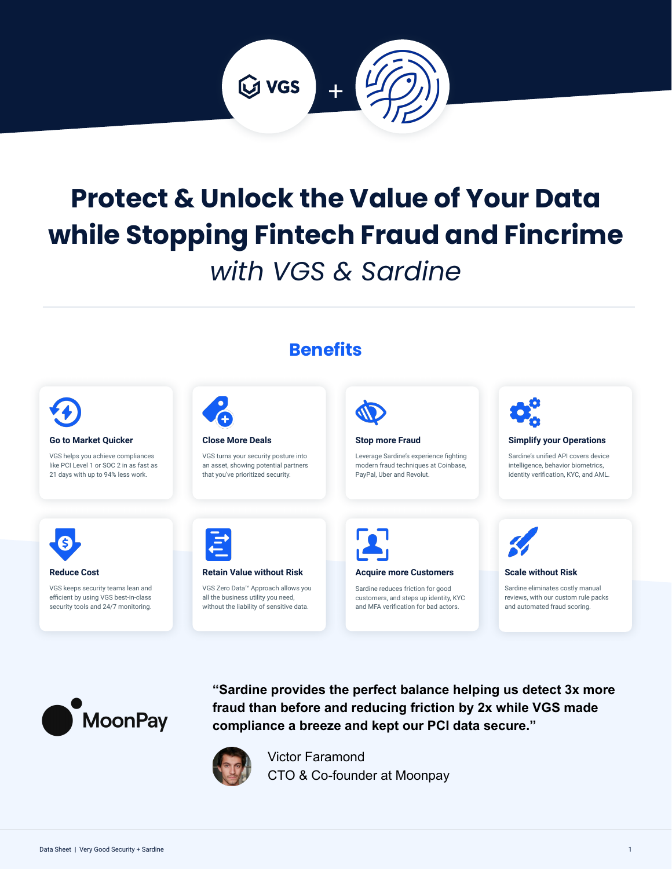

# **Protect & Unlock the Value of Your Data while Stopping Fintech Fraud and Fincrime**  *with VGS & Sardine*



**fraud than before and reducing friction by 2x while VGS made** 

**compliance a breeze and kept our PCI data secure."**

CTO & Co-founder at Moonpay

Victor Faramond



**MoonPay**